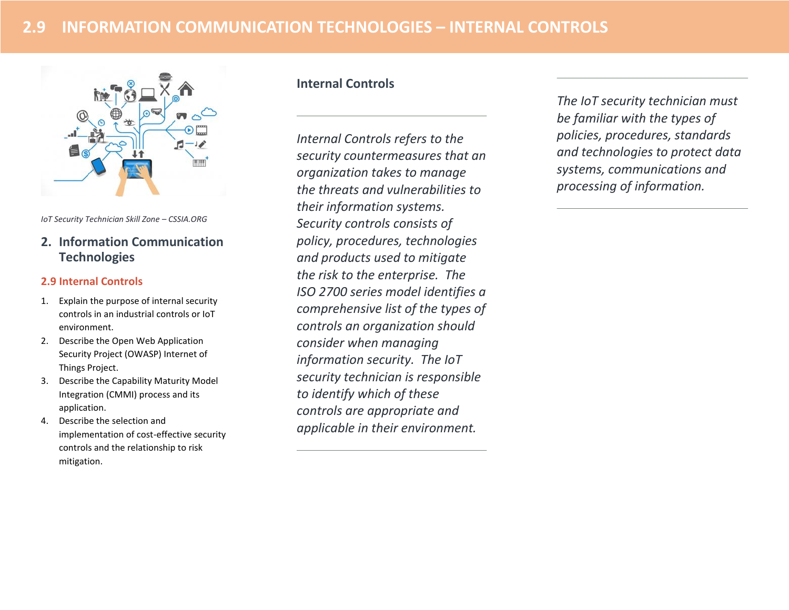

*IoT Security Technician Skill Zone – CSSIA.ORG*

# **2. Information Communication Technologies**

#### **2.9 Internal Controls**

- 1. Explain the purpose of internal security controls in an industrial controls or IoT environment.
- 2. Describe the Open Web Application Security Project (OWASP) Internet of Things Project.
- 3. Describe the Capability Maturity Model Integration (CMMI) process and its application.
- 4. Describe the selection and implementation of cost-effective security controls and the relationship to risk mitigation.

## **Internal Controls**

*Internal Controls refers to the security countermeasures that an organization takes to manage the threats and vulnerabilities to their information systems. Security controls consists of policy, procedures, technologies and products used to mitigate the risk to the enterprise. The ISO 2700 series model identifies a comprehensive list of the types of controls an organization should consider when managing information security. The IoT security technician is responsible to identify which of these controls are appropriate and applicable in their environment.* 

*The IoT security technician must be familiar with the types of policies, procedures, standards and technologies to protect data systems, communications and processing of information.*